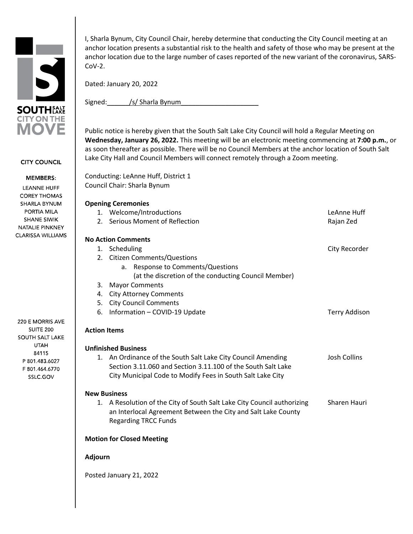

**CITY COUNCIL** 

## **MEMBERS:**

**LEANNE HUFF COREY THOMAS** SHARLA BYNUM PORTIA MILA **SHANE SIWIK** NATALIE PINKNEY **CLARISSA WILLIAMS** 

220 E MORRIS AVE **SUITE 200** SOUTH SALT LAKE UTAH 84115 P 801.483.6027 F 801.464.6770 SSLC.GOV

I, Sharla Bynum, City Council Chair, hereby determine that conducting the City Council meeting at an anchor location presents a substantial risk to the health and safety of those who may be present at the anchor location due to the large number of cases reported of the new variant of the coronavirus, SARS-CoV-2.

Dated: January 20, 2022

Signed: /s/ Sharla Bynum

Public notice is hereby given that the South Salt Lake City Council will hold a Regular Meeting on **Wednesday, January 26, 2022.** This meeting will be an electronic meeting commencing at **7:00 p.m.**, or as soon thereafter as possible. There will be no Council Members at the anchor location of South Salt Lake City Hall and Council Members will connect remotely through a Zoom meeting.

Conducting: LeAnne Huff, District 1 Council Chair: Sharla Bynum

## **Opening Ceremonies**

| 1.                               | Welcome/Introductions                                                                                                                                                                      | LeAnne Huff          |
|----------------------------------|--------------------------------------------------------------------------------------------------------------------------------------------------------------------------------------------|----------------------|
| 2.                               | Serious Moment of Reflection                                                                                                                                                               | Rajan Zed            |
|                                  |                                                                                                                                                                                            |                      |
| <b>No Action Comments</b>        |                                                                                                                                                                                            |                      |
| 1.                               | Scheduling                                                                                                                                                                                 | City Recorder        |
|                                  | 2. Citizen Comments/Questions                                                                                                                                                              |                      |
|                                  | Response to Comments/Questions<br>a.                                                                                                                                                       |                      |
|                                  | (at the discretion of the conducting Council Member)                                                                                                                                       |                      |
| 3.                               | <b>Mayor Comments</b>                                                                                                                                                                      |                      |
| 4.                               | <b>City Attorney Comments</b>                                                                                                                                                              |                      |
| 5.                               | <b>City Council Comments</b>                                                                                                                                                               |                      |
| 6.                               | Information - COVID-19 Update                                                                                                                                                              | <b>Terry Addison</b> |
|                                  | <b>Action Items</b>                                                                                                                                                                        |                      |
|                                  | <b>Unfinished Business</b>                                                                                                                                                                 |                      |
|                                  | 1. An Ordinance of the South Salt Lake City Council Amending<br>Section 3.11.060 and Section 3.11.100 of the South Salt Lake<br>City Municipal Code to Modify Fees in South Salt Lake City | Josh Collins         |
|                                  | <b>New Business</b>                                                                                                                                                                        |                      |
|                                  | 1. A Resolution of the City of South Salt Lake City Council authorizing<br>an Interlocal Agreement Between the City and Salt Lake County<br><b>Regarding TRCC Funds</b>                    | Sharen Hauri         |
| <b>Motion for Closed Meeting</b> |                                                                                                                                                                                            |                      |

## **Adjourn**

Posted January 21, 2022